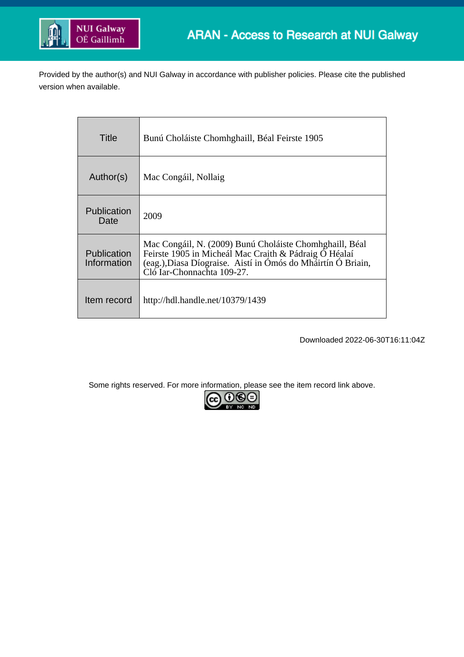

Provided by the author(s) and NUI Galway in accordance with publisher policies. Please cite the published version when available.

| Title                      | Bunú Choláiste Chomhghaill, Béal Feirste 1905                                                                                                                                                                  |
|----------------------------|----------------------------------------------------------------------------------------------------------------------------------------------------------------------------------------------------------------|
| Author(s)                  | Mac Congáil, Nollaig                                                                                                                                                                                           |
| <b>Publication</b><br>Date | 2009                                                                                                                                                                                                           |
| Publication<br>Information | Mac Congáil, N. (2009) Bunú Choláiste Chomhghaill, Béal<br>Feirste 1905 in Micheál Mac Craith & Pádraig Ó Héalaí<br>(eag.), Diasa Díograise. Aistí in Ómós do Mháirtín Ó Briain,<br>Cló Iar-Chonnachta 109-27. |
| Item record                | http://hdl.handle.net/10379/1439                                                                                                                                                                               |

Downloaded 2022-06-30T16:11:04Z

Some rights reserved. For more information, please see the item record link above.

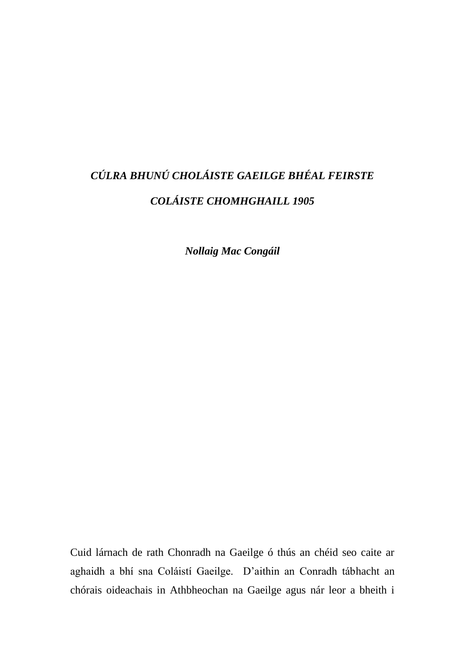## *CÚLRA BHUNÚ CHOLÁISTE GAEILGE BHÉAL FEIRSTE COLÁISTE CHOMHGHAILL 1905*

*Nollaig Mac Congáil*

Cuid lárnach de rath Chonradh na Gaeilge ó thús an chéid seo caite ar aghaidh a bhí sna Coláistí Gaeilge. D'aithin an Conradh tábhacht an chórais oideachais in Athbheochan na Gaeilge agus nár leor a bheith i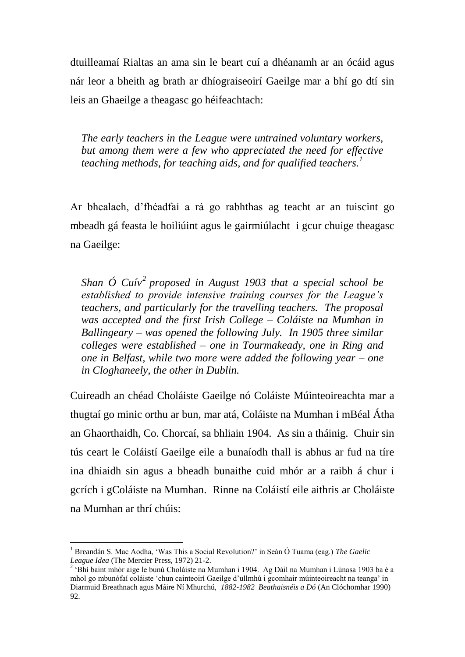dtuilleamaí Rialtas an ama sin le beart cuí a dhéanamh ar an ócáid agus nár leor a bheith ag brath ar dhíograiseoirí Gaeilge mar a bhí go dtí sin leis an Ghaeilge a theagasc go héifeachtach:

*The early teachers in the League were untrained voluntary workers, but among them were a few who appreciated the need for effective teaching methods, for teaching aids, and for qualified teachers.<sup>1</sup>*

Ar bhealach, d'fhéadfaí a rá go rabhthas ag teacht ar an tuiscint go mbeadh gá feasta le hoiliúint agus le gairmiúlacht i gcur chuige theagasc na Gaeilge:

*Shan Ó Cuív<sup>2</sup> proposed in August 1903 that a special school be established to provide intensive training courses for the League's teachers, and particularly for the travelling teachers. The proposal was accepted and the first Irish College – Coláiste na Mumhan in Ballingeary – was opened the following July. In 1905 three similar colleges were established – one in Tourmakeady, one in Ring and one in Belfast, while two more were added the following year – one in Cloghaneely, the other in Dublin.*

Cuireadh an chéad Choláiste Gaeilge nó Coláiste Múinteoireachta mar a thugtaí go minic orthu ar bun, mar atá, Coláiste na Mumhan i mBéal Átha an Ghaorthaidh, Co. Chorcaí, sa bhliain 1904. As sin a tháinig. Chuir sin tús ceart le Coláistí Gaeilge eile a bunaíodh thall is abhus ar fud na tíre ina dhiaidh sin agus a bheadh bunaithe cuid mhór ar a raibh á chur i gcrích i gColáiste na Mumhan. Rinne na Coláistí eile aithris ar Choláiste na Mumhan ar thrí chúis:

<sup>1</sup> Breandán S. Mac Aodha, 'Was This a Social Revolution?' in Seán Ó Tuama (eag.) *The Gaelic League Idea* (The Mercier Press, 1972) 21-2.

<sup>&</sup>lt;sup>2</sup> 'Bhí baint mhór aige le bunú Choláiste na Mumhan i 1904. Ag Dáil na Mumhan i Lúnasa 1903 ba é a mhol go mbunófaí coláiste 'chun cainteoirí Gaeilge d'ullmhú i gcomhair múinteoireacht na teanga' in Diarmuid Breathnach agus Máire Ní Mhurchú, *1882-1982 Beathaisnéis a Dó* (An Clóchomhar 1990) 92.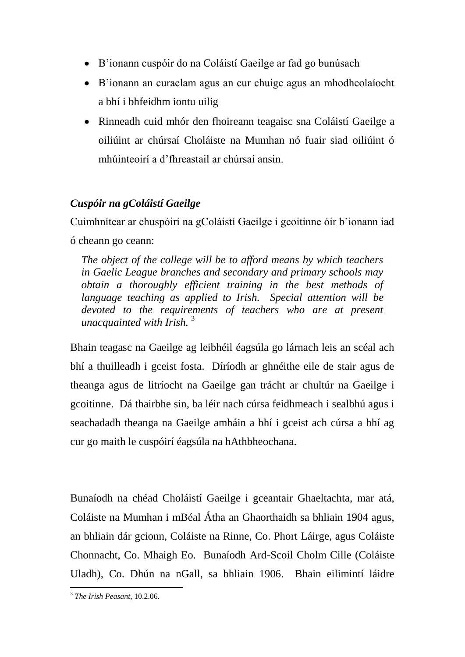- B'ionann cuspóir do na Coláistí Gaeilge ar fad go bunúsach
- B'ionann an curaclam agus an cur chuige agus an mhodheolaíocht a bhí i bhfeidhm iontu uilig
- Rinneadh cuid mhór den fhoireann teagaisc sna Coláistí Gaeilge a oiliúint ar chúrsaí Choláiste na Mumhan nó fuair siad oiliúint ó mhúinteoirí a d'fhreastail ar chúrsaí ansin.

## *Cuspóir na gColáistí Gaeilge*

Cuimhnítear ar chuspóirí na gColáistí Gaeilge i gcoitinne óir b'ionann iad ó cheann go ceann:

*The object of the college will be to afford means by which teachers in Gaelic League branches and secondary and primary schools may obtain a thoroughly efficient training in the best methods of language teaching as applied to Irish. Special attention will be devoted to the requirements of teachers who are at present unacquainted with Irish.* <sup>3</sup>

Bhain teagasc na Gaeilge ag leibhéil éagsúla go lárnach leis an scéal ach bhí a thuilleadh i gceist fosta. Díríodh ar ghnéithe eile de stair agus de theanga agus de litríocht na Gaeilge gan trácht ar chultúr na Gaeilge i gcoitinne. Dá thairbhe sin, ba léir nach cúrsa feidhmeach i sealbhú agus i seachadadh theanga na Gaeilge amháin a bhí i gceist ach cúrsa a bhí ag cur go maith le cuspóirí éagsúla na hAthbheochana.

Bunaíodh na chéad Choláistí Gaeilge i gceantair Ghaeltachta, mar atá, Coláiste na Mumhan i mBéal Átha an Ghaorthaidh sa bhliain 1904 agus, an bhliain dár gcionn, Coláiste na Rinne, Co. Phort Láirge, agus Coláiste Chonnacht, Co. Mhaigh Eo. Bunaíodh Ard-Scoil Cholm Cille (Coláiste Uladh), Co. Dhún na nGall, sa bhliain 1906. Bhain eilimintí láidre

 3 *The Irish Peasant*, 10.2.06.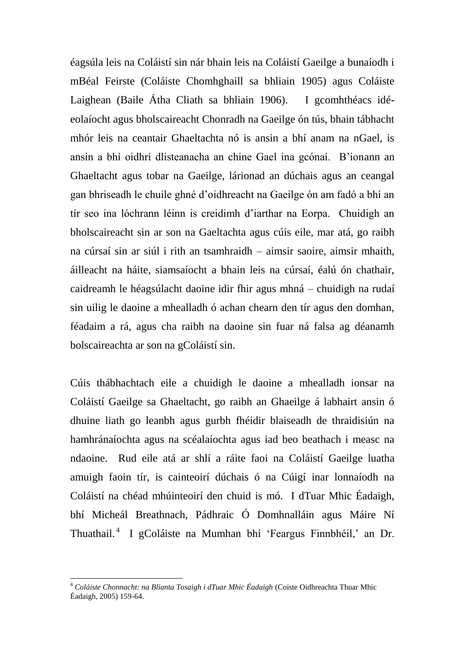éagsúla leis na Coláistí sin nár bhain leis na Coláistí Gaeilge a bunaíodh i mBéal Feirste (Coláiste Chomhghaill sa bhliain 1905) agus Coláiste Laighean (Baile Átha Cliath sa bhliain 1906). I gcomhthéacs idéeolaíocht agus bholscaireacht Chonradh na Gaeilge ón tús, bhain tábhacht mhór leis na ceantair Ghaeltachta nó is ansin a bhí anam na nGael, is ansin a bhí oidhrí dlisteanacha an chine Gael ina gcónaí. B'ionann an Ghaeltacht agus tobar na Gaeilge, lárionad an dúchais agus an ceangal gan bhriseadh le chuile ghné d'oidhreacht na Gaeilge ón am fadó a bhí an tír seo ina lóchrann léinn is creidimh d'iarthar na Eorpa. Chuidigh an bholscaireacht sin ar son na Gaeltachta agus cúis eile, mar atá, go raibh na cúrsaí sin ar siúl i rith an tsamhraidh – aimsir saoire, aimsir mhaith, áilleacht na háite, siamsaíocht a bhain leis na cúrsaí, éalú ón chathair, caidreamh le héagsúlacht daoine idir fhir agus mhná – chuidigh na rudaí sin uilig le daoine a mhealladh ó achan chearn den tír agus den domhan, féadaim a rá, agus cha raibh na daoine sin fuar ná falsa ag déanamh bolscaireachta ar son na gColáistí sin.

Cúis thábhachtach eile a chuidigh le daoine a mhealladh ionsar na Coláistí Gaeilge sa Ghaeltacht, go raibh an Ghaeilge á labhairt ansin ó dhuine liath go leanbh agus gurbh fhéidir blaiseadh de thraidisiún na hamhránaíochta agus na scéalaíochta agus iad beo beathach i measc na ndaoine. Rud eile atá ar shlí a ráite faoi na Coláistí Gaeilge luatha amuigh faoin tír, is cainteoirí dúchais ó na Cúigí inar lonnaíodh na Coláistí na chéad mhúinteoirí den chuid is mó. I dTuar Mhic Éadaigh, bhí Micheál Breathnach, Pádhraic Ó Domhnalláin agus Máire Ní Thuathail.<sup>4</sup> I gColáiste na Mumhan bhí 'Feargus Finnbhéil,' an Dr.

<sup>4</sup> *Coláiste Chonnacht: na Blianta Tosaigh i dTuar Mhic Éadaigh* (Coiste Oidhreachta Thuar Mhic Éadaigh, 2005) 159-64.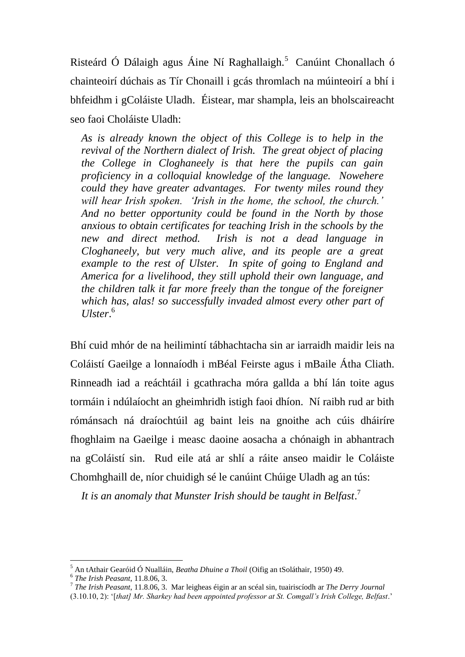Risteárd Ó Dálaigh agus Áine Ní Raghallaigh.<sup>5</sup> Canúint Chonallach ó chainteoirí dúchais as Tír Chonaill i gcás thromlach na múinteoirí a bhí i bhfeidhm i gColáiste Uladh. Éistear, mar shampla, leis an bholscaireacht seo faoi Choláiste Uladh:

*As is already known the object of this College is to help in the revival of the Northern dialect of Irish. The great object of placing the College in Cloghaneely is that here the pupils can gain proficiency in a colloquial knowledge of the language. Nowehere could they have greater advantages. For twenty miles round they will hear Irish spoken. 'Irish in the home, the school, the church.' And no better opportunity could be found in the North by those anxious to obtain certificates for teaching Irish in the schools by the new and direct method. Irish is not a dead language in Cloghaneely, but very much alive, and its people are a great example to the rest of Ulster. In spite of going to England and America for a livelihood, they still uphold their own language, and the children talk it far more freely than the tongue of the foreigner which has, alas! so successfully invaded almost every other part of Ulster*. 6

Bhí cuid mhór de na heilimintí tábhachtacha sin ar iarraidh maidir leis na Coláistí Gaeilge a lonnaíodh i mBéal Feirste agus i mBaile Átha Cliath. Rinneadh iad a reáchtáil i gcathracha móra gallda a bhí lán toite agus tormáin i ndúlaíocht an gheimhridh istigh faoi dhíon. Ní raibh rud ar bith rómánsach ná draíochtúil ag baint leis na gnoithe ach cúis dháiríre fhoghlaim na Gaeilge i measc daoine aosacha a chónaigh in abhantrach na gColáistí sin. Rud eile atá ar shlí a ráite anseo maidir le Coláiste Chomhghaill de, níor chuidigh sé le canúint Chúige Uladh ag an tús:

*It is an anomaly that Munster Irish should be taught in Belfast*. 7

<sup>5</sup> An tAthair Gearóid Ó Nualláin, *Beatha Dhuine a Thoil* (Oifig an tSoláthair, 1950) 49. 6 *The Irish Peasant*, 11.8.06, 3.

<sup>7</sup> *The Irish Peasant*, 11.8.06, 3. Mar leigheas éigin ar an scéal sin, tuairiscíodh ar *The Derry Journal* 

<sup>(3.10.10, 2): &#</sup>x27;[*that] Mr. Sharkey had been appointed professor at St. Comgall's Irish College, Belfast*.'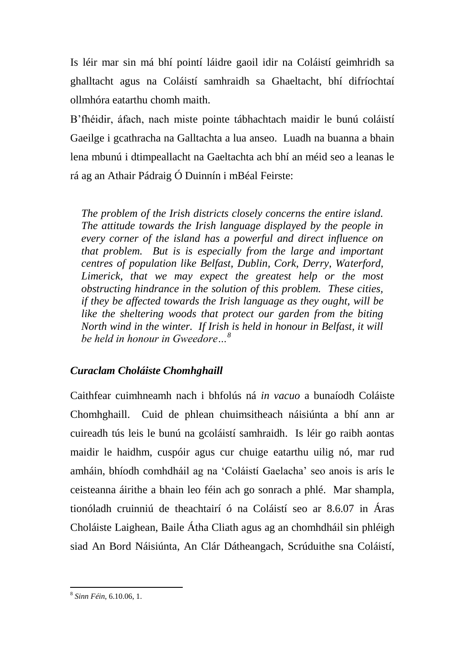Is léir mar sin má bhí pointí láidre gaoil idir na Coláistí geimhridh sa ghalltacht agus na Coláistí samhraidh sa Ghaeltacht, bhí difríochtaí ollmhóra eatarthu chomh maith.

B'fhéidir, áfach, nach miste pointe tábhachtach maidir le bunú coláistí Gaeilge i gcathracha na Galltachta a lua anseo. Luadh na buanna a bhain lena mbunú i dtimpeallacht na Gaeltachta ach bhí an méid seo a leanas le rá ag an Athair Pádraig Ó Duinnín i mBéal Feirste:

*The problem of the Irish districts closely concerns the entire island. The attitude towards the Irish language displayed by the people in every corner of the island has a powerful and direct influence on that problem. But is is especially from the large and important centres of population like Belfast, Dublin, Cork, Derry, Waterford, Limerick, that we may expect the greatest help or the most obstructing hindrance in the solution of this problem. These cities, if they be affected towards the Irish language as they ought, will be like the sheltering woods that protect our garden from the biting North wind in the winter. If Irish is held in honour in Belfast, it will be held in honour in Gweedore…<sup>8</sup>*

## *Curaclam Choláiste Chomhghaill*

Caithfear cuimhneamh nach i bhfolús ná *in vacuo* a bunaíodh Coláiste Chomhghaill. Cuid de phlean chuimsitheach náisiúnta a bhí ann ar cuireadh tús leis le bunú na gcoláistí samhraidh. Is léir go raibh aontas maidir le haidhm, cuspóir agus cur chuige eatarthu uilig nó, mar rud amháin, bhíodh comhdháil ag na 'Coláistí Gaelacha' seo anois is arís le ceisteanna áirithe a bhain leo féin ach go sonrach a phlé. Mar shampla, tionóladh cruinniú de theachtairí ó na Coláistí seo ar 8.6.07 in Áras Choláiste Laighean, Baile Átha Cliath agus ag an chomhdháil sin phléigh siad An Bord Náisiúnta, An Clár Dátheangach, Scrúduithe sna Coláistí,

 8 *Sinn Féin*, 6.10.06, 1.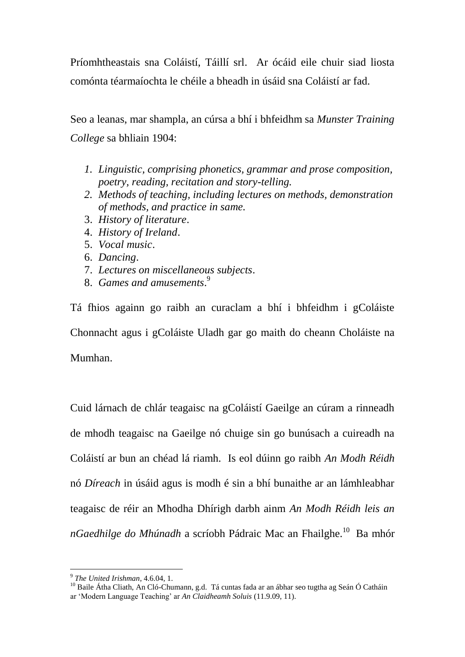Príomhtheastais sna Coláistí, Táillí srl. Ar ócáid eile chuir siad liosta comónta téarmaíochta le chéile a bheadh in úsáid sna Coláistí ar fad.

Seo a leanas, mar shampla, an cúrsa a bhí i bhfeidhm sa *Munster Training College* sa bhliain 1904:

- *1. Linguistic, comprising phonetics, grammar and prose composition, poetry, reading, recitation and story-telling.*
- *2. Methods of teaching, including lectures on methods, demonstration of methods, and practice in same.*
- 3. *History of literature*.
- 4. *History of Ireland*.
- 5. *Vocal music*.
- 6. *Dancing*.
- 7. *Lectures on miscellaneous subjects*.
- 8. *Games and amusements*. 9

Tá fhios againn go raibh an curaclam a bhí i bhfeidhm i gColáiste Chonnacht agus i gColáiste Uladh gar go maith do cheann Choláiste na Mumhan.

Cuid lárnach de chlár teagaisc na gColáistí Gaeilge an cúram a rinneadh de mhodh teagaisc na Gaeilge nó chuige sin go bunúsach a cuireadh na Coláistí ar bun an chéad lá riamh. Is eol dúinn go raibh *An Modh Réidh* nó *Díreach* in úsáid agus is modh é sin a bhí bunaithe ar an lámhleabhar teagaisc de réir an Mhodha Dhírigh darbh ainm *An Modh Réidh leis an*  n*Gaedhilge do Mhúnadh* a scríobh Pádraic Mac an Fhailghe.<sup>10</sup> Ba mhór

<sup>9</sup> *The United Irishman*, 4.6.04, 1.

<sup>&</sup>lt;sup>10</sup> Baile Átha Cliath, An Cló-Chumann, g.d. Tá cuntas fada ar an ábhar seo tugtha ag Seán Ó Catháin ar 'Modern Language Teaching' ar *An Claidheamh Soluis* (11.9.09, 11).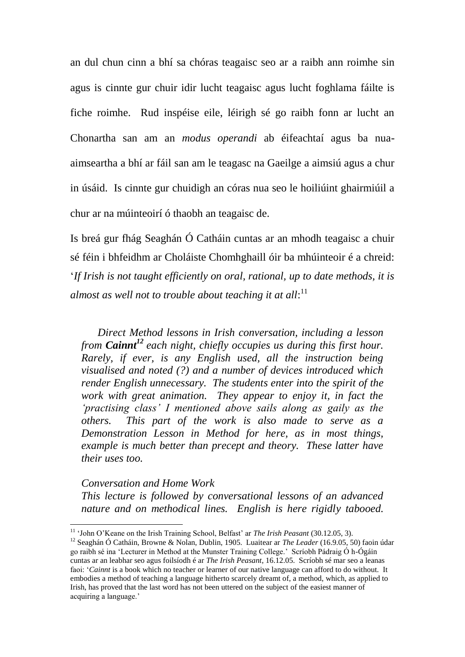an dul chun cinn a bhí sa chóras teagaisc seo ar a raibh ann roimhe sin agus is cinnte gur chuir idir lucht teagaisc agus lucht foghlama fáilte is fiche roimhe. Rud inspéise eile, léirigh sé go raibh fonn ar lucht an Chonartha san am an *modus operandi* ab éifeachtaí agus ba nuaaimseartha a bhí ar fáil san am le teagasc na Gaeilge a aimsiú agus a chur in úsáid. Is cinnte gur chuidigh an córas nua seo le hoiliúint ghairmiúil a chur ar na múinteoirí ó thaobh an teagaisc de.

Is breá gur fhág Seaghán Ó Catháin cuntas ar an mhodh teagaisc a chuir sé féin i bhfeidhm ar Choláiste Chomhghaill óir ba mhúinteoir é a chreid: '*If Irish is not taught efficiently on oral, rational, up to date methods, it is almost as well not to trouble about teaching it at all*: 11

 *Direct Method lessons in Irish conversation, including a lesson from Cainnt<sup>12</sup> each night, chiefly occupies us during this first hour. Rarely, if ever, is any English used, all the instruction being visualised and noted (?) and a number of devices introduced which render English unnecessary. The students enter into the spirit of the work with great animation. They appear to enjoy it, in fact the 'practising class' I mentioned above sails along as gaily as the others. This part of the work is also made to serve as a Demonstration Lesson in Method for here, as in most things, example is much better than precept and theory. These latter have their uses too.*

## *Conversation and Home Work*

1

*This lecture is followed by conversational lessons of an advanced nature and on methodical lines. English is here rigidly tabooed.* 

<sup>11</sup> 'John O'Keane on the Irish Training School, Belfast' ar *The Irish Peasant* (30.12.05, 3).

<sup>12</sup> Seaghán Ó Catháin, Browne & Nolan, Dublin, 1905. Luaitear ar *The Leader* (16.9.05, 50) faoin údar go raibh sé ina 'Lecturer in Method at the Munster Training College.' Scríobh Pádraig Ó h-Ógáin cuntas ar an leabhar seo agus foilsíodh é ar *The Irish Peasant*, 16.12.05. Scríobh sé mar seo a leanas faoi: '*Cainnt* is a book which no teacher or learner of our native language can afford to do without. It embodies a method of teaching a language hitherto scarcely dreamt of, a method, which, as applied to Irish, has proved that the last word has not been uttered on the subject of the easiest manner of acquiring a language.'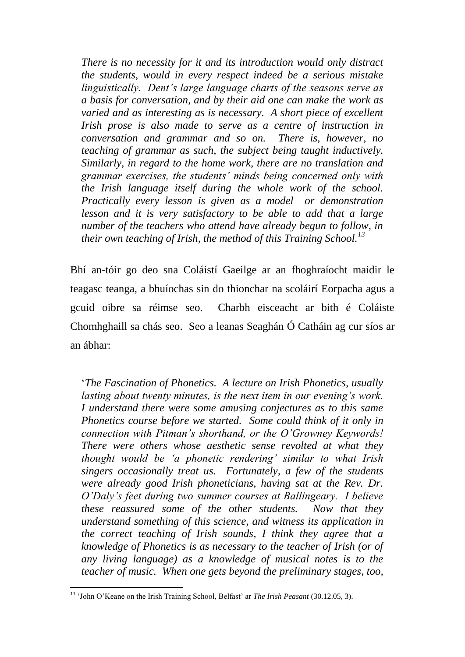*There is no necessity for it and its introduction would only distract the students, would in every respect indeed be a serious mistake linguistically. Dent's large language charts of the seasons serve as a basis for conversation, and by their aid one can make the work as varied and as interesting as is necessary. A short piece of excellent Irish prose is also made to serve as a centre of instruction in conversation and grammar and so on. There is, however, no teaching of grammar as such, the subject being taught inductively. Similarly, in regard to the home work, there are no translation and grammar exercises, the students' minds being concerned only with the Irish language itself during the whole work of the school. Practically every lesson is given as a model or demonstration lesson and it is very satisfactory to be able to add that a large number of the teachers who attend have already begun to follow, in their own teaching of Irish, the method of this Training School.<sup>13</sup>*

Bhí an-tóir go deo sna Coláistí Gaeilge ar an fhoghraíocht maidir le teagasc teanga, a bhuíochas sin do thionchar na scoláirí Eorpacha agus a gcuid oibre sa réimse seo. Charbh eisceacht ar bith é Coláiste Chomhghaill sa chás seo. Seo a leanas Seaghán Ó Catháin ag cur síos ar an ábhar:

'*The Fascination of Phonetics. A lecture on Irish Phonetics, usually lasting about twenty minutes, is the next item in our evening's work. I understand there were some amusing conjectures as to this same Phonetics course before we started. Some could think of it only in connection with Pitman's shorthand, or the O'Growney Keywords! There were others whose aesthetic sense revolted at what they thought would be 'a phonetic rendering' similar to what Irish singers occasionally treat us. Fortunately, a few of the students were already good Irish phoneticians, having sat at the Rev. Dr. O'Daly's feet during two summer courses at Ballingeary. I believe these reassured some of the other students. Now that they understand something of this science, and witness its application in the correct teaching of Irish sounds, I think they agree that a knowledge of Phonetics is as necessary to the teacher of Irish (or of any living language) as a knowledge of musical notes is to the teacher of music. When one gets beyond the preliminary stages, too,* 

<sup>13</sup> 'John O'Keane on the Irish Training School, Belfast' ar *The Irish Peasant* (30.12.05, 3).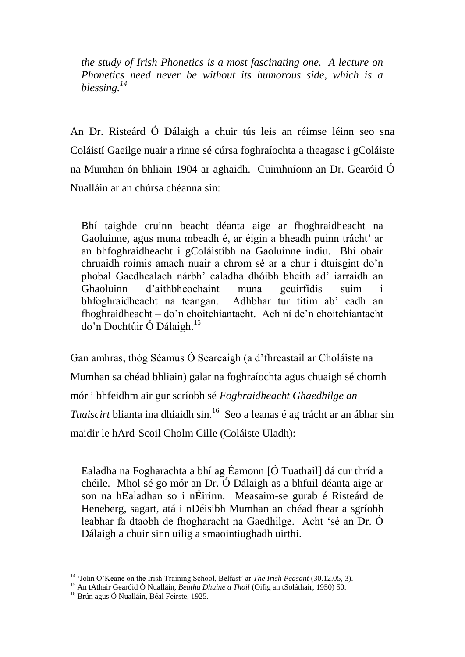*the study of Irish Phonetics is a most fascinating one. A lecture on Phonetics need never be without its humorous side, which is a blessing.<sup>14</sup>*

An Dr. Risteárd Ó Dálaigh a chuir tús leis an réimse léinn seo sna Coláistí Gaeilge nuair a rinne sé cúrsa foghraíochta a theagasc i gColáiste na Mumhan ón bhliain 1904 ar aghaidh. Cuimhníonn an Dr. Gearóid Ó Nualláin ar an chúrsa chéanna sin:

Bhí taighde cruinn beacht déanta aige ar fhoghraidheacht na Gaoluinne, agus muna mbeadh é, ar éigin a bheadh puinn trácht' ar an bhfoghraidheacht i gColáistíbh na Gaoluinne indiu. Bhí obair chruaidh roimis amach nuair a chrom sé ar a chur i dtuisgint do'n phobal Gaedhealach nárbh' ealadha dhóibh bheith ad' iarraidh an Ghaoluinn d'aithbheochaint muna gcuirfidís suim i bhfoghraidheacht na teangan. Adhbhar tur titim ab' eadh an fhoghraidheacht – do'n choitchiantacht. Ach ní de'n choitchiantacht do'n Dochtúir Ó Dálaigh.<sup>15</sup>

Gan amhras, thóg Séamus Ó Searcaigh (a d'fhreastail ar Choláiste na Mumhan sa chéad bhliain) galar na foghraíochta agus chuaigh sé chomh mór i bhfeidhm air gur scríobh sé *Foghraidheacht Ghaedhilge an Tuaiscirt* blianta ina dhiaidh sin.<sup>16</sup> Seo a leanas é ag trácht ar an ábhar sin maidir le hArd-Scoil Cholm Cille (Coláiste Uladh):

Ealadha na Fogharachta a bhí ag Éamonn [Ó Tuathail] dá cur thríd a chéile. Mhol sé go mór an Dr. Ó Dálaigh as a bhfuil déanta aige ar son na hEaladhan so i nÉirinn. Measaim-se gurab é Risteárd de Heneberg, sagart, atá i nDéisibh Mumhan an chéad fhear a sgríobh leabhar fa dtaobh de fhogharacht na Gaedhilge. Acht 'sé an Dr. Ó Dálaigh a chuir sinn uilig a smaointiughadh uirthi.

<sup>14</sup> 'John O'Keane on the Irish Training School, Belfast' ar *The Irish Peasant* (30.12.05, 3).

<sup>15</sup> An tAthair Gearóid Ó Nualláin, *Beatha Dhuine a Thoil* (Oifig an tSoláthair, 1950) 50.

<sup>&</sup>lt;sup>16</sup> Brún agus Ó Nualláin, Béal Feirste, 1925.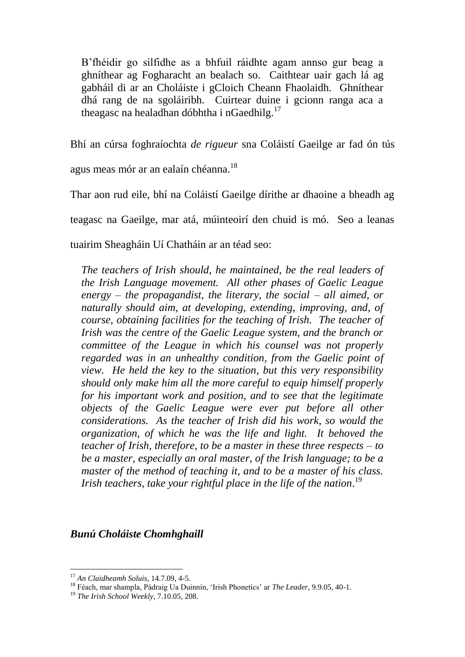B'fhéidir go sílfidhe as a bhfuil ráidhte agam annso gur beag a ghníthear ag Fogharacht an bealach so. Caithtear uair gach lá ag gabháil di ar an Choláiste i gCloich Cheann Fhaolaidh. Ghníthear dhá rang de na sgoláiribh. Cuirtear duine i gcionn ranga aca a theagasc na healadhan dóbhtha i nGaedhilg.<sup>17</sup> 

Bhí an cúrsa foghraíochta *de rigueur* sna Coláistí Gaeilge ar fad ón tús

agus meas mór ar an ealaín chéanna.<sup>18</sup>

Thar aon rud eile, bhí na Coláistí Gaeilge dírithe ar dhaoine a bheadh ag

teagasc na Gaeilge, mar atá, múinteoirí den chuid is mó. Seo a leanas

tuairim Sheagháin Uí Chatháin ar an téad seo:

*The teachers of Irish should, he maintained, be the real leaders of the Irish Language movement. All other phases of Gaelic League energy – the propagandist, the literary, the social – all aimed, or naturally should aim, at developing, extending, improving, and, of course, obtaining facilities for the teaching of Irish. The teacher of Irish was the centre of the Gaelic League system, and the branch or committee of the League in which his counsel was not properly regarded was in an unhealthy condition, from the Gaelic point of view. He held the key to the situation, but this very responsibility should only make him all the more careful to equip himself properly for his important work and position, and to see that the legitimate objects of the Gaelic League were ever put before all other considerations. As the teacher of Irish did his work, so would the organization, of which he was the life and light. It behoved the teacher of Irish, therefore, to be a master in these three respects – to be a master, especially an oral master, of the Irish language; to be a master of the method of teaching it, and to be a master of his class. Irish teachers, take your rightful place in the life of the nation*. 19

*Bunú Choláiste Chomhghaill*

<sup>17</sup> *An Claidheamh Soluis*, 14.7.09, 4-5.

<sup>18</sup> Féach, mar shampla, Pádraig Ua Duinnín, 'Irish Phonetics' ar *The Leader*, 9.9.05, 40-1.

<sup>19</sup> *The Irish School Weekly*, 7.10.05, 208.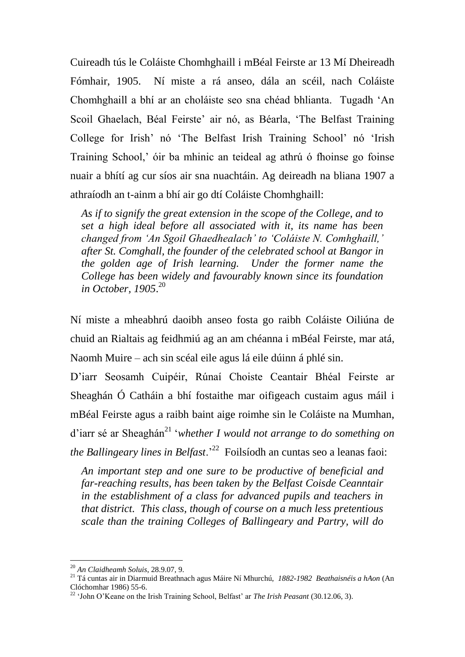Cuireadh tús le Coláiste Chomhghaill i mBéal Feirste ar 13 Mí Dheireadh Fómhair, 1905. Ní miste a rá anseo, dála an scéil, nach Coláiste Chomhghaill a bhí ar an choláiste seo sna chéad bhlianta. Tugadh 'An Scoil Ghaelach, Béal Feirste' air nó, as Béarla, 'The Belfast Training College for Irish' nó 'The Belfast Irish Training School' nó 'Irish Training School,' óir ba mhinic an teideal ag athrú ó fhoinse go foinse nuair a bhítí ag cur síos air sna nuachtáin. Ag deireadh na bliana 1907 a athraíodh an t-ainm a bhí air go dtí Coláiste Chomhghaill:

*As if to signify the great extension in the scope of the College, and to set a high ideal before all associated with it, its name has been changed from 'An Sgoil Ghaedhealach' to 'Coláiste N. Comhghaill,' after St. Comghall, the founder of the celebrated school at Bangor in the golden age of Irish learning. Under the former name the College has been widely and favourably known since its foundation in October, 1905*. 20

Ní miste a mheabhrú daoibh anseo fosta go raibh Coláiste Oiliúna de chuid an Rialtais ag feidhmiú ag an am chéanna i mBéal Feirste, mar atá, Naomh Muire – ach sin scéal eile agus lá eile dúinn á phlé sin.

D'iarr Seosamh Cuipéir, Rúnaí Choiste Ceantair Bhéal Feirste ar Sheaghán Ó Catháin a bhí fostaithe mar oifigeach custaim agus máil i mBéal Feirste agus a raibh baint aige roimhe sin le Coláiste na Mumhan, d'iarr sé ar Sheaghán<sup>21</sup> '*whether I would not arrange to do something on the Ballingeary lines in Belfast.*<sup>22</sup> Foilsíodh an cuntas seo a leanas faoi:

*An important step and one sure to be productive of beneficial and far-reaching results, has been taken by the Belfast Coisde Ceanntair in the establishment of a class for advanced pupils and teachers in that district. This class, though of course on a much less pretentious scale than the training Colleges of Ballingeary and Partry, will do* 

<sup>20</sup> *An Claidheamh Soluis*, 28.9.07, 9.

<sup>21</sup> Tá cuntas air in Diarmuid Breathnach agus Máire Ní Mhurchú, *1882-1982 Beathaisnéis a hAon* (An Clóchomhar 1986) 55-6.

<sup>&</sup>lt;sup>22</sup> 'John O'Keane on the Irish Training School, Belfast' ar *The Irish Peasant* (30.12.06, 3).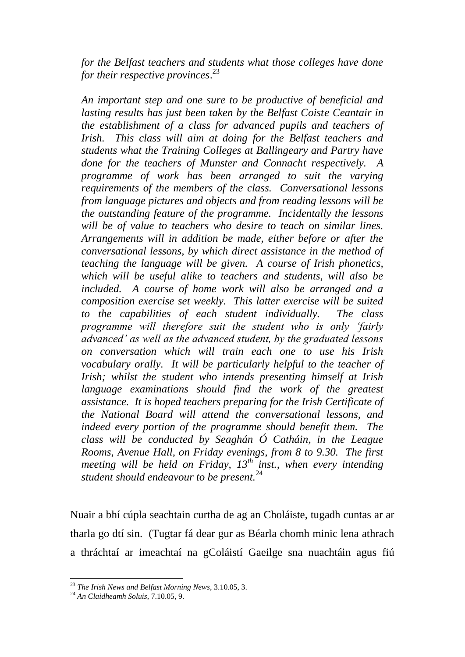*for the Belfast teachers and students what those colleges have done for their respective provinces*. 23

*An important step and one sure to be productive of beneficial and lasting results has just been taken by the Belfast Coiste Ceantair in the establishment of a class for advanced pupils and teachers of Irish. This class will aim at doing for the Belfast teachers and students what the Training Colleges at Ballingeary and Partry have done for the teachers of Munster and Connacht respectively. A programme of work has been arranged to suit the varying requirements of the members of the class. Conversational lessons from language pictures and objects and from reading lessons will be the outstanding feature of the programme. Incidentally the lessons will be of value to teachers who desire to teach on similar lines. Arrangements will in addition be made, either before or after the conversational lessons, by which direct assistance in the method of teaching the language will be given. A course of Irish phonetics, which will be useful alike to teachers and students, will also be included. A course of home work will also be arranged and a composition exercise set weekly. This latter exercise will be suited to the capabilities of each student individually. The class programme will therefore suit the student who is only 'fairly advanced' as well as the advanced student, by the graduated lessons on conversation which will train each one to use his Irish vocabulary orally. It will be particularly helpful to the teacher of Irish; whilst the student who intends presenting himself at Irish language examinations should find the work of the greatest assistance. It is hoped teachers preparing for the Irish Certificate of the National Board will attend the conversational lessons, and indeed every portion of the programme should benefit them. The class will be conducted by Seaghán Ó Catháin, in the League Rooms, Avenue Hall, on Friday evenings, from 8 to 9.30. The first meeting will be held on Friday, 13th inst., when every intending student should endeavour to be present.*<sup>24</sup>

Nuair a bhí cúpla seachtain curtha de ag an Choláiste, tugadh cuntas ar ar tharla go dtí sin. (Tugtar fá dear gur as Béarla chomh minic lena athrach a thráchtaí ar imeachtaí na gColáistí Gaeilge sna nuachtáin agus fiú

<sup>23</sup> *The Irish News and Belfast Morning News*, 3.10.05, 3.

<sup>24</sup> *An Claidheamh Soluis*, 7.10.05, 9.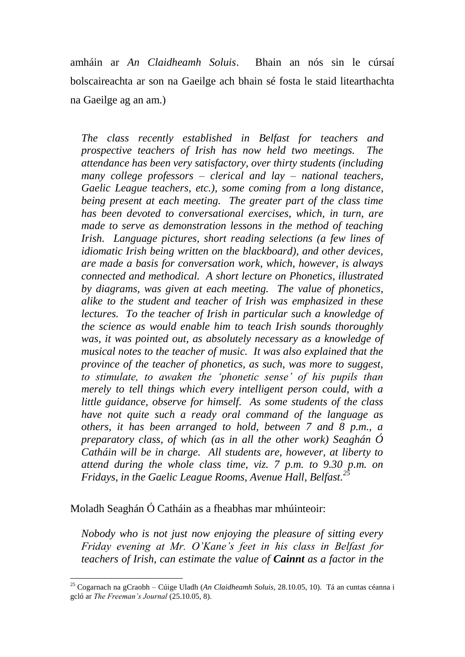amháin ar *An Claidheamh Soluis*. Bhain an nós sin le cúrsaí bolscaireachta ar son na Gaeilge ach bhain sé fosta le staid litearthachta na Gaeilge ag an am.)

*The class recently established in Belfast for teachers and prospective teachers of Irish has now held two meetings. The attendance has been very satisfactory, over thirty students (including many college professors – clerical and lay – national teachers, Gaelic League teachers, etc.), some coming from a long distance, being present at each meeting. The greater part of the class time has been devoted to conversational exercises, which, in turn, are made to serve as demonstration lessons in the method of teaching Irish. Language pictures, short reading selections (a few lines of idiomatic Irish being written on the blackboard), and other devices, are made a basis for conversation work, which, however, is always connected and methodical. A short lecture on Phonetics, illustrated by diagrams, was given at each meeting. The value of phonetics, alike to the student and teacher of Irish was emphasized in these lectures. To the teacher of Irish in particular such a knowledge of the science as would enable him to teach Irish sounds thoroughly was, it was pointed out, as absolutely necessary as a knowledge of musical notes to the teacher of music. It was also explained that the province of the teacher of phonetics, as such, was more to suggest, to stimulate, to awaken the 'phonetic sense' of his pupils than merely to tell things which every intelligent person could, with a little guidance, observe for himself. As some students of the class have not quite such a ready oral command of the language as others, it has been arranged to hold, between 7 and 8 p.m., a preparatory class, of which (as in all the other work) Seaghán Ó Catháin will be in charge. All students are, however, at liberty to attend during the whole class time, viz. 7 p.m. to 9.30 p.m. on Fridays, in the Gaelic League Rooms, Avenue Hall, Belfast. 25*

Moladh Seaghán Ó Catháin as a fheabhas mar mhúinteoir:

*Nobody who is not just now enjoying the pleasure of sitting every Friday evening at Mr. O'Kane's feet in his class in Belfast for teachers of Irish, can estimate the value of Cainnt as a factor in the* 

<sup>1</sup> <sup>25</sup> Cogarnach na gCraobh – Cúige Uladh (*An Claidheamh Soluis*, 28.10.05, 10). Tá an cuntas céanna i gcló ar *The Freeman's Journal* (25.10.05, 8).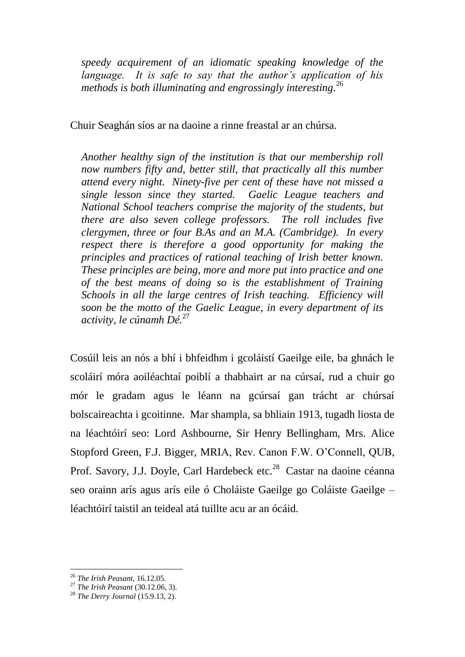*speedy acquirement of an idiomatic speaking knowledge of the language. It is safe to say that the author's application of his methods is both illuminating and engrossingly interesting.*<sup>26</sup>

Chuir Seaghán síos ar na daoine a rinne freastal ar an chúrsa.

*Another healthy sign of the institution is that our membership roll now numbers fifty and, better still, that practically all this number attend every night. Ninety-five per cent of these have not missed a single lesson since they started. Gaelic League teachers and National School teachers comprise the majority of the students, but there are also seven college professors. The roll includes five clergymen, three or four B.As and an M.A. (Cambridge). In every respect there is therefore a good opportunity for making the principles and practices of rational teaching of Irish better known. These principles are being, more and more put into practice and one of the best means of doing so is the establishment of Training Schools in all the large centres of Irish teaching. Efficiency will soon be the motto of the Gaelic League, in every department of its activity, le cúnamh Dé.*<sup>27</sup>

Cosúil leis an nós a bhí i bhfeidhm i gcoláistí Gaeilge eile, ba ghnách le scoláirí móra aoiléachtaí poiblí a thabhairt ar na cúrsaí, rud a chuir go mór le gradam agus le léann na gcúrsaí gan trácht ar chúrsaí bolscaireachta i gcoitinne. Mar shampla, sa bhliain 1913, tugadh liosta de na léachtóirí seo: Lord Ashbourne, Sir Henry Bellingham, Mrs. Alice Stopford Green, F.J. Bigger, MRIA, Rev. Canon F.W. O'Connell, QUB, Prof. Savory, J.J. Doyle, Carl Hardebeck etc.<sup>28</sup> Castar na daoine céanna seo orainn arís agus arís eile ó Choláiste Gaeilge go Coláiste Gaeilge – léachtóirí taistil an teideal atá tuillte acu ar an ócáid.

<sup>26</sup> *The Irish Peasant*, 16.12.05.

<sup>27</sup> *The Irish Peasant* (30.12.06, 3).

<sup>28</sup> *The Derry Journal* (15.9.13, 2).